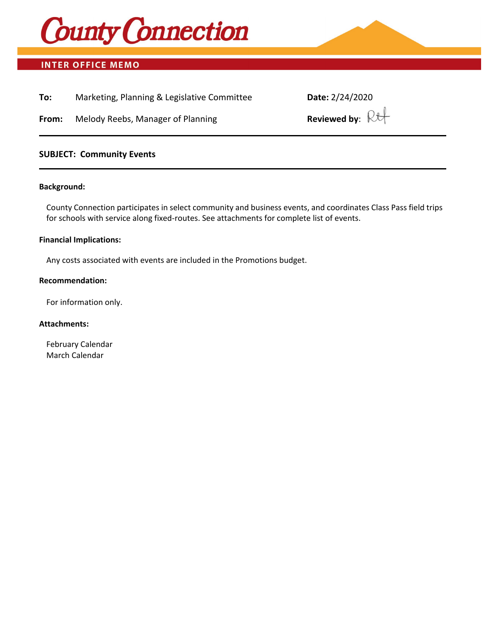

# **INTER OFFICE MEMO**

| To: | Marketing, Planning & Legislative Committee | Date: 2/24/2020 |
|-----|---------------------------------------------|-----------------|
|-----|---------------------------------------------|-----------------|

**From:** Melody Reebs, Manager of Planning

## **SUBJECT: Community Events**

#### **Background:**

County Connection participates in select community and business events, and coordinates Class Pass field trips for schools with service along fixed-routes. See attachments for complete list of events.

#### **Financial Implications:**

Any costs associated with events are included in the Promotions budget.

#### **Recommendation:**

For information only.

### **Attachments:**

February Calendar March Calendar

| Date: 2/24/2020           |  |  |  |  |
|---------------------------|--|--|--|--|
| Reviewed by: $\mathbb{R}$ |  |  |  |  |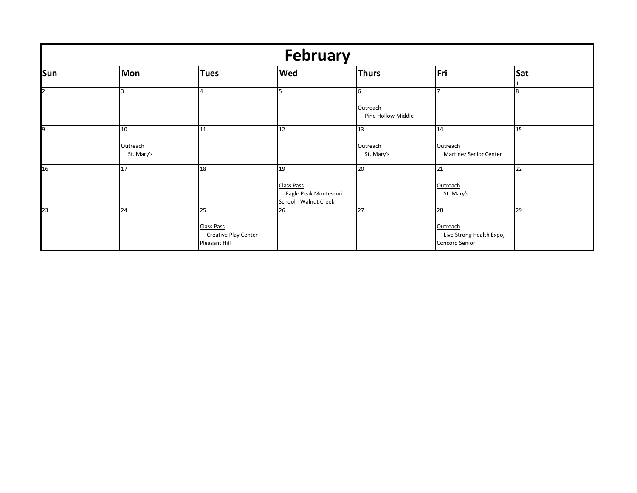| <b>February</b> |                        |                        |                                                |                                |                                           |     |  |  |  |
|-----------------|------------------------|------------------------|------------------------------------------------|--------------------------------|-------------------------------------------|-----|--|--|--|
| Sun             | Mon                    | <b>Tues</b>            | <b>Wed</b>                                     | <b>Thurs</b>                   | Fri                                       | Sat |  |  |  |
|                 |                        |                        |                                                |                                |                                           |     |  |  |  |
| $\overline{2}$  |                        |                        | 5                                              | b                              |                                           | 8   |  |  |  |
|                 |                        |                        |                                                | Outreach<br>Pine Hollow Middle |                                           |     |  |  |  |
| 9               | 10                     | 11                     | 12                                             | 13                             | 14                                        | 15  |  |  |  |
|                 | Outreach<br>St. Mary's |                        |                                                | Outreach<br>St. Mary's         | Outreach<br><b>Martinez Senior Center</b> |     |  |  |  |
| 16              | 17                     | 18                     | 19                                             | 20                             | 21                                        | 22  |  |  |  |
|                 |                        |                        | <b>Class Pass</b>                              |                                | Outreach                                  |     |  |  |  |
|                 |                        |                        | Eagle Peak Montessori<br>School - Walnut Creek |                                | St. Mary's                                |     |  |  |  |
| 23              | 24                     | 25                     | 26                                             | 27                             | 28                                        | 29  |  |  |  |
|                 |                        | <b>Class Pass</b>      |                                                |                                | Outreach                                  |     |  |  |  |
|                 |                        | Creative Play Center - |                                                |                                | Live Strong Health Expo,                  |     |  |  |  |
|                 |                        | Pleasant Hill          |                                                |                                | Concord Senior                            |     |  |  |  |